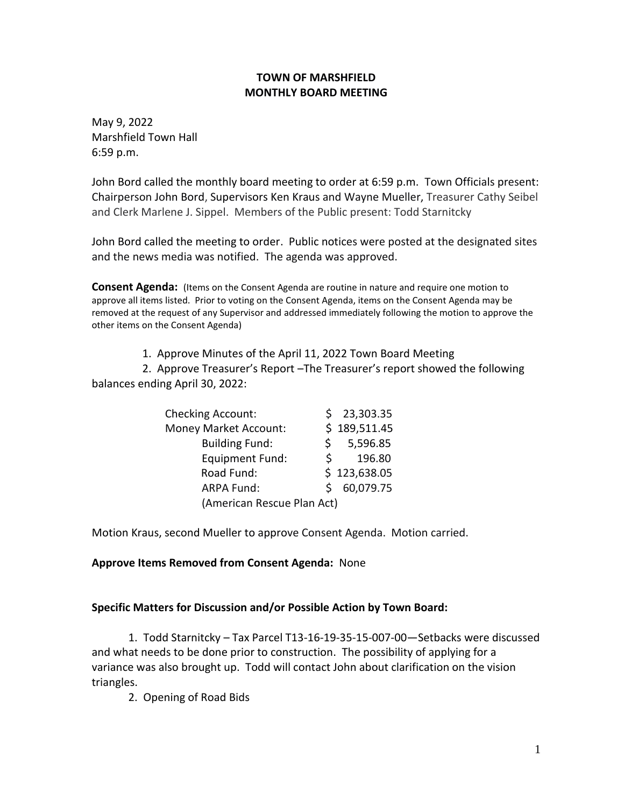### **TOWN OF MARSHFIELD MONTHLY BOARD MEETING**

May 9, 2022 Marshfield Town Hall 6:59 p.m.

John Bord called the monthly board meeting to order at 6:59 p.m. Town Officials present: Chairperson John Bord, Supervisors Ken Kraus and Wayne Mueller, Treasurer Cathy Seibel and Clerk Marlene J. Sippel. Members of the Public present: Todd Starnitcky

John Bord called the meeting to order. Public notices were posted at the designated sites and the news media was notified. The agenda was approved.

**Consent Agenda:** (Items on the Consent Agenda are routine in nature and require one motion to approve all items listed. Prior to voting on the Consent Agenda, items on the Consent Agenda may be removed at the request of any Supervisor and addressed immediately following the motion to approve the other items on the Consent Agenda)

1. Approve Minutes of the April 11, 2022 Town Board Meeting

 2. Approve Treasurer's Report –The Treasurer's report showed the following balances ending April 30, 2022:

| <b>Checking Account:</b>     |    | 23,303.35    |
|------------------------------|----|--------------|
| <b>Money Market Account:</b> |    | \$189,511.45 |
| <b>Building Fund:</b>        |    | \$5,596.85   |
| <b>Equipment Fund:</b>       | S. | 196.80       |
| Road Fund:                   |    | \$123,638.05 |
| <b>ARPA Fund:</b>            |    | 60,079.75    |
| (American Rescue Plan Act)   |    |              |

Motion Kraus, second Mueller to approve Consent Agenda. Motion carried.

#### **Approve Items Removed from Consent Agenda:** None

#### **Specific Matters for Discussion and/or Possible Action by Town Board:**

1. Todd Starnitcky – Tax Parcel T13-16-19-35-15-007-00—Setbacks were discussed and what needs to be done prior to construction. The possibility of applying for a variance was also brought up. Todd will contact John about clarification on the vision triangles.

2. Opening of Road Bids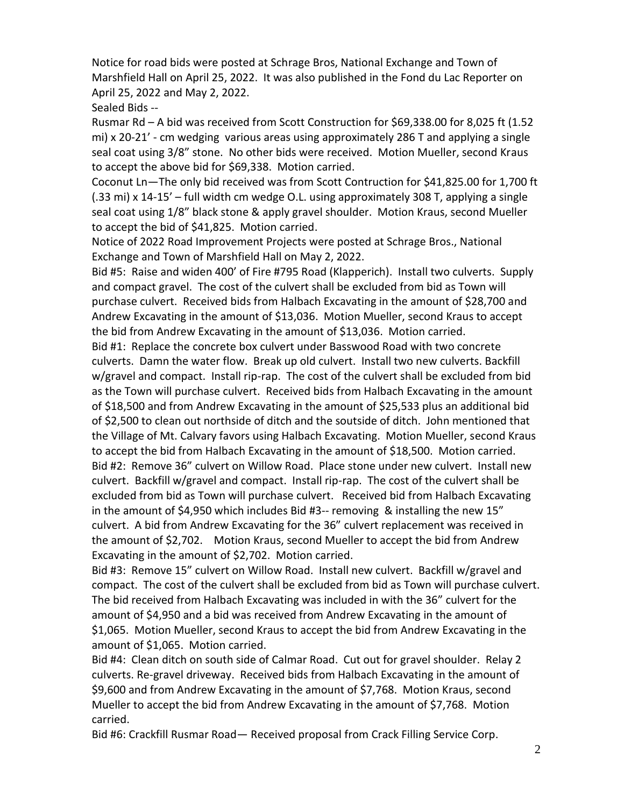Notice for road bids were posted at Schrage Bros, National Exchange and Town of Marshfield Hall on April 25, 2022. It was also published in the Fond du Lac Reporter on April 25, 2022 and May 2, 2022.

Sealed Bids --

Rusmar Rd – A bid was received from Scott Construction for \$69,338.00 for 8,025 ft (1.52 mi) x 20-21' - cm wedging various areas using approximately 286 T and applying a single seal coat using 3/8" stone. No other bids were received. Motion Mueller, second Kraus to accept the above bid for \$69,338. Motion carried.

Coconut Ln—The only bid received was from Scott Contruction for \$41,825.00 for 1,700 ft (.33 mi) x 14-15' – full width cm wedge O.L. using approximately 308 T, applying a single seal coat using 1/8" black stone & apply gravel shoulder. Motion Kraus, second Mueller to accept the bid of \$41,825. Motion carried.

Notice of 2022 Road Improvement Projects were posted at Schrage Bros., National Exchange and Town of Marshfield Hall on May 2, 2022.

Bid #5: Raise and widen 400' of Fire #795 Road (Klapperich). Install two culverts. Supply and compact gravel. The cost of the culvert shall be excluded from bid as Town will purchase culvert. Received bids from Halbach Excavating in the amount of \$28,700 and Andrew Excavating in the amount of \$13,036. Motion Mueller, second Kraus to accept the bid from Andrew Excavating in the amount of \$13,036. Motion carried.

Bid #1: Replace the concrete box culvert under Basswood Road with two concrete culverts. Damn the water flow. Break up old culvert. Install two new culverts. Backfill w/gravel and compact. Install rip-rap. The cost of the culvert shall be excluded from bid as the Town will purchase culvert. Received bids from Halbach Excavating in the amount of \$18,500 and from Andrew Excavating in the amount of \$25,533 plus an additional bid of \$2,500 to clean out northside of ditch and the soutside of ditch. John mentioned that the Village of Mt. Calvary favors using Halbach Excavating. Motion Mueller, second Kraus to accept the bid from Halbach Excavating in the amount of \$18,500. Motion carried. Bid #2: Remove 36" culvert on Willow Road. Place stone under new culvert. Install new culvert. Backfill w/gravel and compact. Install rip-rap. The cost of the culvert shall be excluded from bid as Town will purchase culvert. Received bid from Halbach Excavating in the amount of \$4,950 which includes Bid  $#3-$  removing & installing the new 15" culvert. A bid from Andrew Excavating for the 36" culvert replacement was received in the amount of \$2,702. Motion Kraus, second Mueller to accept the bid from Andrew Excavating in the amount of \$2,702. Motion carried.

Bid #3: Remove 15" culvert on Willow Road. Install new culvert. Backfill w/gravel and compact. The cost of the culvert shall be excluded from bid as Town will purchase culvert. The bid received from Halbach Excavating was included in with the 36" culvert for the amount of \$4,950 and a bid was received from Andrew Excavating in the amount of \$1,065. Motion Mueller, second Kraus to accept the bid from Andrew Excavating in the amount of \$1,065. Motion carried.

Bid #4: Clean ditch on south side of Calmar Road. Cut out for gravel shoulder. Relay 2 culverts. Re-gravel driveway. Received bids from Halbach Excavating in the amount of \$9,600 and from Andrew Excavating in the amount of \$7,768. Motion Kraus, second Mueller to accept the bid from Andrew Excavating in the amount of \$7,768. Motion carried.

Bid #6: Crackfill Rusmar Road— Received proposal from Crack Filling Service Corp.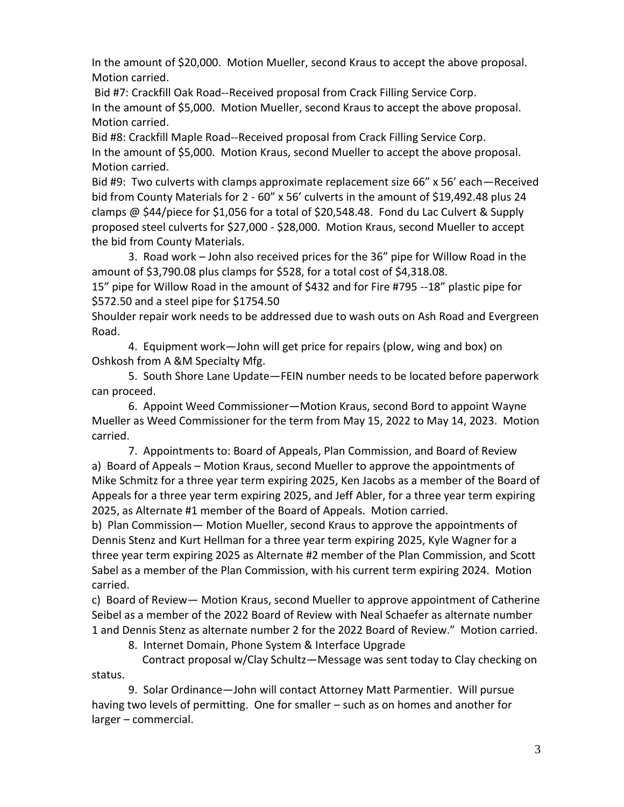In the amount of \$20,000. Motion Mueller, second Kraus to accept the above proposal. Motion carried.

Bid #7: Crackfill Oak Road--Received proposal from Crack Filling Service Corp. In the amount of \$5,000. Motion Mueller, second Kraus to accept the above proposal. Motion carried.

Bid #8: Crackfill Maple Road--Received proposal from Crack Filling Service Corp. In the amount of \$5,000. Motion Kraus, second Mueller to accept the above proposal. Motion carried.

Bid #9: Two culverts with clamps approximate replacement size 66" x 56' each—Received bid from County Materials for 2 - 60" x 56' culverts in the amount of \$19,492.48 plus 24 clamps @ \$44/piece for \$1,056 for a total of \$20,548.48. Fond du Lac Culvert & Supply proposed steel culverts for \$27,000 - \$28,000. Motion Kraus, second Mueller to accept the bid from County Materials.

3. Road work – John also received prices for the 36" pipe for Willow Road in the amount of \$3,790.08 plus clamps for \$528, for a total cost of \$4,318.08.

15" pipe for Willow Road in the amount of \$432 and for Fire #795 --18" plastic pipe for \$572.50 and a steel pipe for \$1754.50

Shoulder repair work needs to be addressed due to wash outs on Ash Road and Evergreen Road.

4. Equipment work—John will get price for repairs (plow, wing and box) on Oshkosh from A &M Specialty Mfg.

5. South Shore Lane Update—FEIN number needs to be located before paperwork can proceed.

6. Appoint Weed Commissioner—Motion Kraus, second Bord to appoint Wayne Mueller as Weed Commissioner for the term from May 15, 2022 to May 14, 2023. Motion carried.

7. Appointments to: Board of Appeals, Plan Commission, and Board of Review a) Board of Appeals – Motion Kraus, second Mueller to approve the appointments of Mike Schmitz for a three year term expiring 2025, Ken Jacobs as a member of the Board of Appeals for a three year term expiring 2025, and Jeff Abler, for a three year term expiring 2025, as Alternate #1 member of the Board of Appeals. Motion carried.

b) Plan Commission— Motion Mueller, second Kraus to approve the appointments of Dennis Stenz and Kurt Hellman for a three year term expiring 2025, Kyle Wagner for a three year term expiring 2025 as Alternate #2 member of the Plan Commission, and Scott Sabel as a member of the Plan Commission, with his current term expiring 2024. Motion carried.

c) Board of Review— Motion Kraus, second Mueller to approve appointment of Catherine Seibel as a member of the 2022 Board of Review with Neal Schaefer as alternate number 1 and Dennis Stenz as alternate number 2 for the 2022 Board of Review." Motion carried.

8. Internet Domain, Phone System & Interface Upgrade

 Contract proposal w/Clay Schultz—Message was sent today to Clay checking on status.

9. Solar Ordinance—John will contact Attorney Matt Parmentier. Will pursue having two levels of permitting. One for smaller – such as on homes and another for larger – commercial.